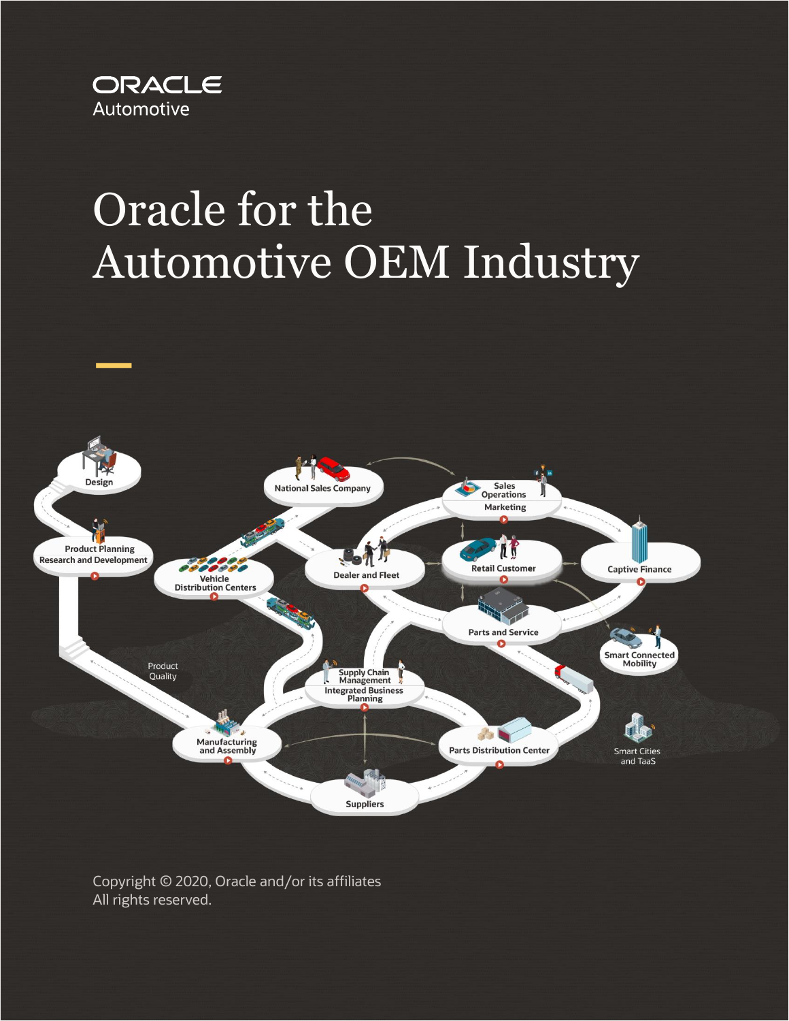

# Oracle for the Automotive OEM Industry



Copyright © 2020, Oracle and/or its affiliates All rights reserved.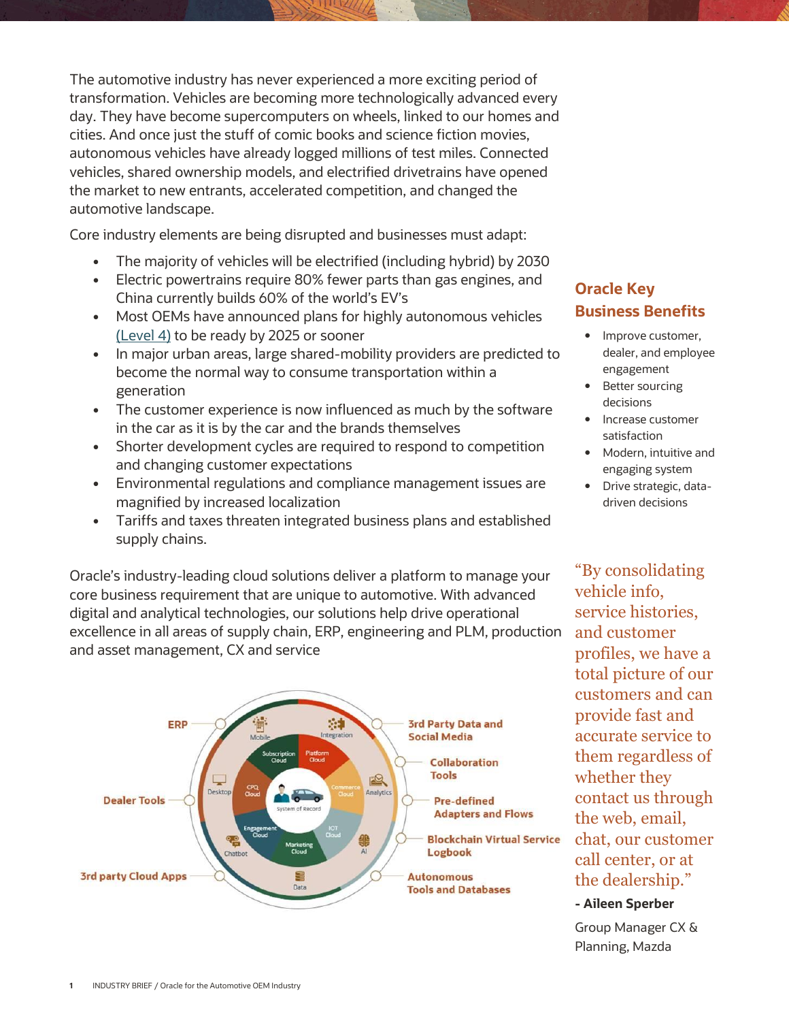The automotive industry has never experienced a more exciting period of transformation. Vehicles are becoming more technologically advanced every day. They have become supercomputers on wheels, linked to our homes and cities. And once just the stuff of comic books and science fiction movies, autonomous vehicles have already logged millions of test miles. Connected vehicles, shared ownership models, and electrified drivetrains have opened the market to new entrants, accelerated competition, and changed the automotive landscape.

Core industry elements are being disrupted and businesses must adapt:

- The majority of vehicles will be electrified (including hybrid) by 2030
- Electric powertrains require 80% fewer parts than gas engines, and China currently builds 60% of the world's EV's
- Most OEMs have announced plans for highly autonomous vehicles [\(Level 4\)](https://www.forbes.com/sites/oracle/2019/05/03/the-driverless-car-is-closer-than-you-thinkand-i-cant-wait/#4cdc04189bb8) to be ready by 2025 or sooner
- In major urban areas, large shared-mobility providers are predicted to become the normal way to consume transportation within a generation
- The customer experience is now influenced as much by the software in the car as it is by the car and the brands themselves
- Shorter development cycles are required to respond to competition and changing customer expectations
- Environmental regulations and compliance management issues are magnified by increased localization
- Tariffs and taxes threaten integrated business plans and established supply chains.

Oracle's industry-leading cloud solutions deliver a platform to manage your core business requirement that are unique to automotive. With advanced digital and analytical technologies, our solutions help drive operational excellence in all areas of supply chain, ERP, engineering and PLM, production and asset management, CX and service



## **Oracle Key Business Benefits**

- Improve customer, dealer, and employee engagement
- Better sourcing decisions
- Increase customer satisfaction
- Modern, intuitive and engaging system
- Drive strategic, datadriven decisions

"By consolidating vehicle info, service histories, and customer profiles, we have a total picture of our customers and can provide fast and accurate service to them regardless of whether they contact us through the web, email, chat, our customer call center, or at the dealership."

#### **- Aileen Sperber**

Group Manager CX & Planning, Mazda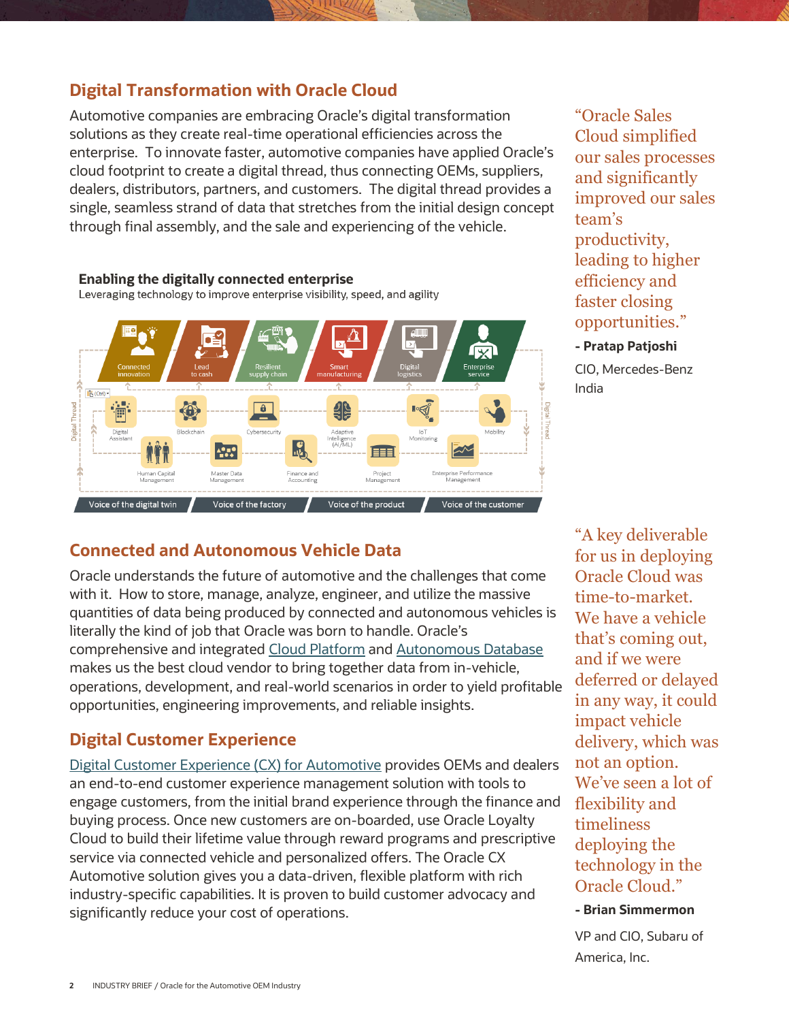## **Digital Transformation with Oracle Cloud**

Automotive companies are embracing Oracle's digital transformation solutions as they create real-time operational efficiencies across the enterprise. To innovate faster, automotive companies have applied Oracle's cloud footprint to create a digital thread, thus connecting OEMs, suppliers, dealers, distributors, partners, and customers. The digital thread provides a single, seamless strand of data that stretches from the initial design concept through final assembly, and the sale and experiencing of the vehicle.



"Oracle Sales Cloud simplified our sales processes and significantly improved our sales team's productivity, leading to higher efficiency and faster closing opportunities."

#### **- Pratap Patjoshi**

CIO, Mercedes-Benz India

## **Connected and Autonomous Vehicle Data**

Oracle understands the future of automotive and the challenges that come with it. How to store, manage, analyze, engineer, and utilize the massive quantities of data being produced by connected and autonomous vehicles is literally the kind of job that Oracle was born to handle. Oracle's comprehensive and integrated [Cloud Platform](https://www.oracle.com/cloud/) and [Autonomous Database](https://www.oracle.com/database/autonomous-database.html) makes us the best cloud vendor to bring together data from in-vehicle, operations, development, and real-world scenarios in order to yield profitable opportunities, engineering improvements, and reliable insights.

## **Digital Customer Experience**

[Digital Customer Experience \(CX\) for Automotive](https://www.oracle.com/industries/automotive/modern-sales-and-marketing-for-automotive.html) provides OEMs and dealers an end-to-end customer experience management solution with tools to engage customers, from the initial brand experience through the finance and buying process. Once new customers are on-boarded, use Oracle Loyalty Cloud to build their lifetime value through reward programs and prescriptive service via connected vehicle and personalized offers. The Oracle CX Automotive solution gives you a data-driven, flexible platform with rich industry-specific capabilities. It is proven to build customer advocacy and significantly reduce your cost of operations.

"A key deliverable for us in deploying Oracle Cloud was time-to-market. We have a vehicle that's coming out, and if we were deferred or delayed in any way, it could impact vehicle delivery, which was not an option. We've seen a lot of flexibility and timeliness deploying the technology in the Oracle Cloud."

#### **- Brian Simmermon**

VP and CIO, Subaru of America, Inc.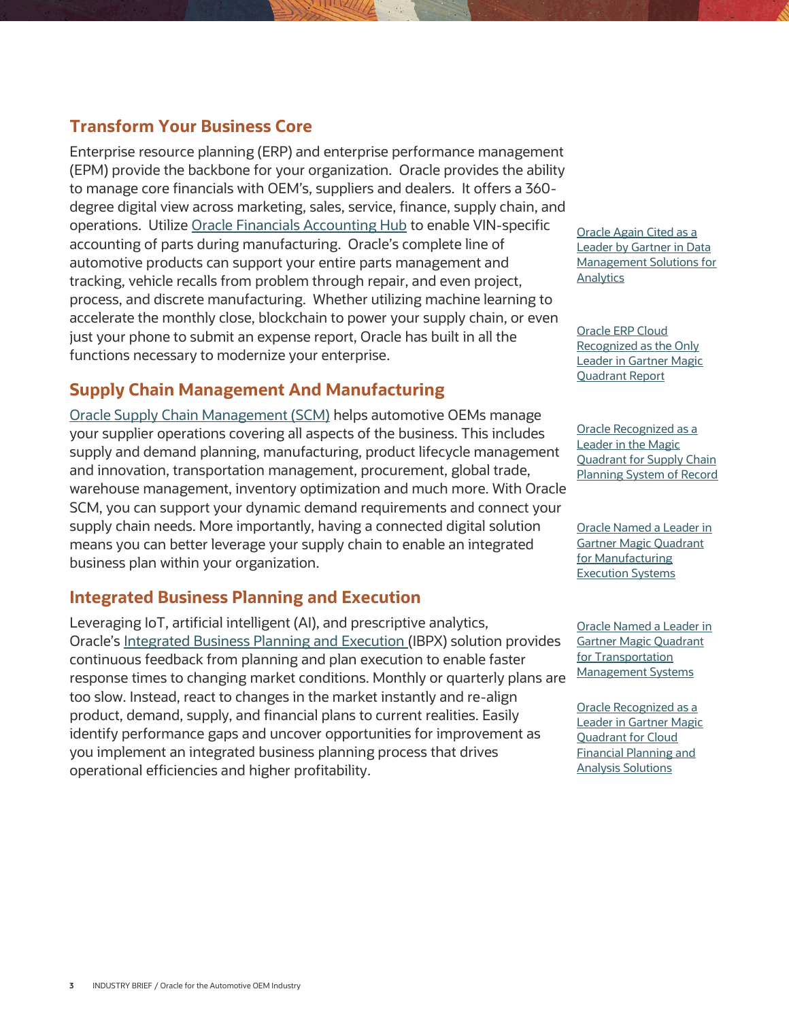## **Transform Your Business Core**

Enterprise resource planning (ERP) and enterprise performance management (EPM) provide the backbone for your organization. Oracle provides the ability to manage core financials with OEM's, suppliers and dealers. It offers a 360 degree digital view across marketing, sales, service, finance, supply chain, and operations. Utiliz[e Oracle Financials Accounting Hub](https://www.oracle.com/applications/ebusiness/products/financials-cccounting-hub/) to enable VIN-specific accounting of parts during manufacturing. Oracle's complete line of automotive products can support your entire parts management and tracking, vehicle recalls from problem through repair, and even project, process, and discrete manufacturing. Whether utilizing machine learning to accelerate the monthly close, blockchain to power your supply chain, or even just your phone to submit an expense report, Oracle has built in all the functions necessary to modernize your enterprise.

## **Supply Chain Management And Manufacturing**

[Oracle Supply Chain Management \(SCM\)](https://www.oracle.com/applications/supply-chain-management/solutions.html) helps automotive OEMs manage your supplier operations covering all aspects of the business. This includes supply and demand planning, manufacturing, product lifecycle management and innovation, transportation management, procurement, global trade, warehouse management, inventory optimization and much more. With Oracle SCM, you can support your dynamic demand requirements and connect your supply chain needs. More importantly, having a connected digital solution means you can better leverage your supply chain to enable an integrated business plan within your organization.

## **Integrated Business Planning and Execution**

Leveraging IoT, artificial intelligent (AI), and prescriptive analytics, Oracle's [Integrated Business Planning and Execution](https://www.oracle.com/industries/high-tech/agile-planning-execution.html) (IBPX) solution provides continuous feedback from planning and plan execution to enable faster response times to changing market conditions. Monthly or quarterly plans are too slow. Instead, react to changes in the market instantly and re-align product, demand, supply, and financial plans to current realities. Easily identify performance gaps and uncover opportunities for improvement as you implement an integrated business planning process that drives operational efficiencies and higher profitability.

[Oracle Again Cited as a](https://www.oracle.com/corporate/pressrelease/named-leader-data-mgmt-sols-gartner-031819.html)  [Leader by Gartner in Data](https://www.oracle.com/corporate/pressrelease/named-leader-data-mgmt-sols-gartner-031819.html)  [Management Solutions for](https://www.oracle.com/corporate/pressrelease/named-leader-data-mgmt-sols-gartner-031819.html)  **[Analytics](https://www.oracle.com/corporate/pressrelease/named-leader-data-mgmt-sols-gartner-031819.html)** 

[Oracle ERP Cloud](https://www.oracle.com/corporate/pressrelease/erp-cloud-leader-gartner-012919.html)  [Recognized as the Only](https://www.oracle.com/corporate/pressrelease/erp-cloud-leader-gartner-012919.html)  [Leader in Gartner Magic](https://www.oracle.com/corporate/pressrelease/erp-cloud-leader-gartner-012919.html)  [Quadrant Report](https://www.oracle.com/corporate/pressrelease/erp-cloud-leader-gartner-012919.html)

[Oracle Recognized as a](https://www.oracle.com/corporate/pressrelease/oracle-leader-scp-gartner-mq-101518.html)  [Leader in the Magic](https://www.oracle.com/corporate/pressrelease/oracle-leader-scp-gartner-mq-101518.html)  [Quadrant for Supply Chain](https://www.oracle.com/corporate/pressrelease/oracle-leader-scp-gartner-mq-101518.html)  [Planning System of Record](https://www.oracle.com/corporate/pressrelease/oracle-leader-scp-gartner-mq-101518.html)

[Oracle Named a Leader in](https://blogs.oracle.com/scm/oracle-named-leader-in-gartner-2019-magic-quadrant-for-manufacturing-execution-systems)  [Gartner Magic Quadrant](https://blogs.oracle.com/scm/oracle-named-leader-in-gartner-2019-magic-quadrant-for-manufacturing-execution-systems)  [for Manufacturing](https://blogs.oracle.com/scm/oracle-named-leader-in-gartner-2019-magic-quadrant-for-manufacturing-execution-systems)  [Execution Systems](https://blogs.oracle.com/scm/oracle-named-leader-in-gartner-2019-magic-quadrant-for-manufacturing-execution-systems)

[Oracle Named a Leader in](https://www.oracle.com/corporate/pressrelease/oracle-leader-gartner-transportation-management-070318.html)  [Gartner Magic Quadrant](https://www.oracle.com/corporate/pressrelease/oracle-leader-gartner-transportation-management-070318.html)  [for Transportation](https://www.oracle.com/corporate/pressrelease/oracle-leader-gartner-transportation-management-070318.html)  [Management Systems](https://www.oracle.com/corporate/pressrelease/oracle-leader-gartner-transportation-management-070318.html)

[Oracle Recognized as a](https://www.oracle.com/corporate/pressrelease/oracle-leader-gartner-mq-cloud-financial-planning-100719.html)  [Leader in Gartner Magic](https://www.oracle.com/corporate/pressrelease/oracle-leader-gartner-mq-cloud-financial-planning-100719.html)  [Quadrant for Cloud](https://www.oracle.com/corporate/pressrelease/oracle-leader-gartner-mq-cloud-financial-planning-100719.html)  [Financial Planning and](https://www.oracle.com/corporate/pressrelease/oracle-leader-gartner-mq-cloud-financial-planning-100719.html)  [Analysis Solutions](https://www.oracle.com/corporate/pressrelease/oracle-leader-gartner-mq-cloud-financial-planning-100719.html)